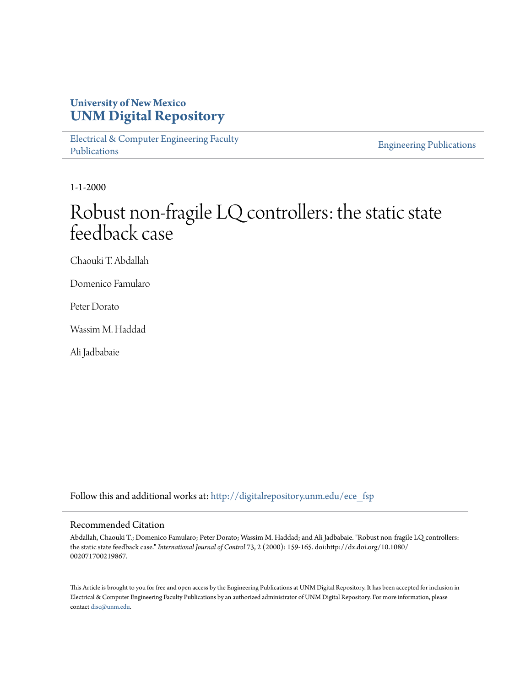### **University of New Mexico [UNM Digital Repository](http://digitalrepository.unm.edu?utm_source=digitalrepository.unm.edu%2Fece_fsp%2F187&utm_medium=PDF&utm_campaign=PDFCoverPages)**

[Electrical & Computer Engineering Faculty](http://digitalrepository.unm.edu/ece_fsp?utm_source=digitalrepository.unm.edu%2Fece_fsp%2F187&utm_medium=PDF&utm_campaign=PDFCoverPages) [Publications](http://digitalrepository.unm.edu/ece_fsp?utm_source=digitalrepository.unm.edu%2Fece_fsp%2F187&utm_medium=PDF&utm_campaign=PDFCoverPages)

[Engineering Publications](http://digitalrepository.unm.edu/eng_fsp?utm_source=digitalrepository.unm.edu%2Fece_fsp%2F187&utm_medium=PDF&utm_campaign=PDFCoverPages)

1-1-2000

# Robust non-fragile LQ controllers: the static state feedback case

Chaouki T. Abdallah

Domenico Famularo

Peter Dorato

Wassim M. Haddad

Ali Jadbabaie

Follow this and additional works at: [http://digitalrepository.unm.edu/ece\\_fsp](http://digitalrepository.unm.edu/ece_fsp?utm_source=digitalrepository.unm.edu%2Fece_fsp%2F187&utm_medium=PDF&utm_campaign=PDFCoverPages)

#### Recommended Citation

Abdallah, Chaouki T.; Domenico Famularo; Peter Dorato; Wassim M. Haddad; and Ali Jadbabaie. "Robust non-fragile LQ controllers: the static state feedback case." *International Journal of Control* 73, 2 (2000): 159-165. doi:http://dx.doi.org/10.1080/ 002071700219867.

This Article is brought to you for free and open access by the Engineering Publications at UNM Digital Repository. It has been accepted for inclusion in Electrical & Computer Engineering Faculty Publications by an authorized administrator of UNM Digital Repository. For more information, please contact [disc@unm.edu.](mailto:disc@unm.edu)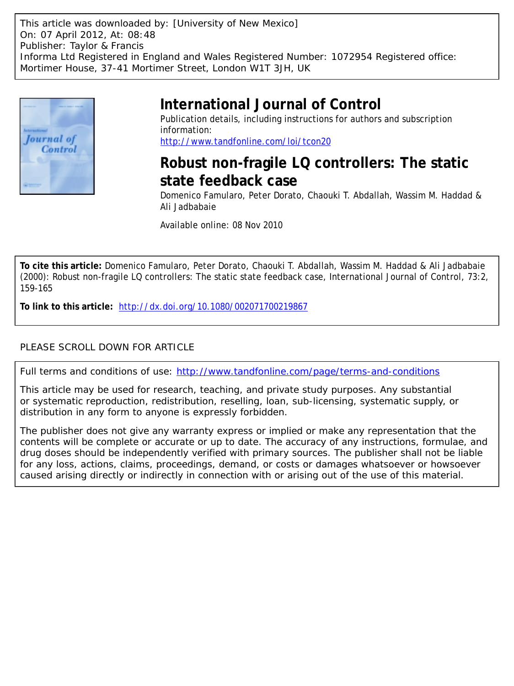This article was downloaded by: [University of New Mexico] On: 07 April 2012, At: 08:48 Publisher: Taylor & Francis Informa Ltd Registered in England and Wales Registered Number: 1072954 Registered office: Mortimer House, 37-41 Mortimer Street, London W1T 3JH, UK



## **International Journal of Control**

Publication details, including instructions for authors and subscription information: <http://www.tandfonline.com/loi/tcon20>

# **Robust non-fragile LQ controllers: The static state feedback case**

Domenico Famularo, Peter Dorato, Chaouki T. Abdallah, Wassim M. Haddad & Ali Jadbabaie

Available online: 08 Nov 2010

**To cite this article:** Domenico Famularo, Peter Dorato, Chaouki T. Abdallah, Wassim M. Haddad & Ali Jadbabaie (2000): Robust non-fragile LQ controllers: The static state feedback case, International Journal of Control, 73:2, 159-165

**To link to this article:** <http://dx.doi.org/10.1080/002071700219867>

### PLEASE SCROLL DOWN FOR ARTICLE

Full terms and conditions of use:<http://www.tandfonline.com/page/terms-and-conditions>

This article may be used for research, teaching, and private study purposes. Any substantial or systematic reproduction, redistribution, reselling, loan, sub-licensing, systematic supply, or distribution in any form to anyone is expressly forbidden.

The publisher does not give any warranty express or implied or make any representation that the contents will be complete or accurate or up to date. The accuracy of any instructions, formulae, and drug doses should be independently verified with primary sources. The publisher shall not be liable for any loss, actions, claims, proceedings, demand, or costs or damages whatsoever or howsoever caused arising directly or indirectly in connection with or arising out of the use of this material.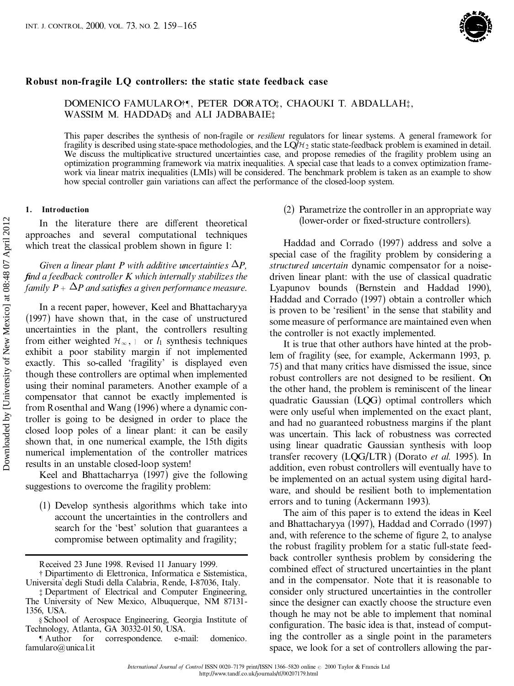

#### **Robust non-fragile LQ controllers: the static state feedback case**

DOMENICO FAMULARO $\dagger$ ], PETER DORATO;, CHAOUKI T. ABDALLAH; WASSIM M. HADDAD<sup>§</sup> and ALI JADBABAIE<sup>†</sup>

This paper describes the synthesis of non-fragile or *resilient* regulators for linear systems. A general framework for fragility is described using state-space methodologies, and the LQ/ $H_2$  static state-feedback problem We discuss the multiplicative structured uncertainties case, and propose remedies of the fragility problem using an optimization programming framework via matrix inequalities. A special case that leads to a convex optimization frame work via linear matrix inequalities (LMIs) will be considered. The benchmark problem is taken as an example to show how special controller gain variations can affect the performance of the closed-loop system.

#### **1. Introduction**

In the literature there are different theoretical approaches and several computational techniques which treat the classical problem shown in figure 1:

*Given a linear plant P with additive uncertainties*  $\Delta P$ *, ®nd a feedback controller K which internally stabilizes the family*  $P + \Delta P$  *and satisfies a given performance measure.* 

In a recent paper, however, Keel and Bhattacharyya (1997) have shown that, in the case of unstructured uncertainties in the plant, the controllers resulting from either weighted  $\mathcal{H}_{\infty}$ ,  $\circ$  or  $l_1$  synthesis techniques exhibit a poor stability margin if not implemented exactly. This so-called 'fragility' is displayed even though these controllers are optimal when implemented using their nominal parameters. Another example of a compensator that cannot be exactly implemented is from Rosenthal and Wang (1996) where a dynamic controller is going to be designed in order to place the closed loop poles of a linear plant: it can be easily shown that, in one numerical example, the 15th digits numerical implementation of the controller matrices results in an unstable closed-loop system! In the literature there are different theoretical<br>
approaches and several computational rechniques Harduce and several consumer terms and the state of the matter and the state of the miner of  $\frac{2}{3}$  for a find the stat

Keel and Bhattacharrya (1997) give the following suggestions to overcome the fragility problem:

(1) Develop synthesis algorithms which take into account the uncertainties in the controllers and search for the 'best' solution that guarantees a compromise between optimality and fragility;

(2) Parametrize the controller in an appropriate way (lower-order or fixed-structure controllers).

Haddad and Corrado (1997) address and solve a special case of the fragility problem by considering a *structured uncertain* dynamic compensator for a noise driven linear plant: with the use of classical quadratic Lyapunov bounds (Bernstein and Haddad 1990), Haddad and Corrado (1997) obtain a controller which is proven to be `resilient' in the sense that stability and some measure of performance are maintained even when the controller is not exactly implemented.

It is true that other authors have hinted at the problem of fragility (see, for example, Ackermann 1993, p. 75) and that many critics have dismissed the issue, since robust controllers are not designed to be resilient. On the other hand, the problem is reminiscent of the linear quadratic Gaussian (LQG) optimal controllers which were only useful when implemented on the exact plant, and had no guaranteed robustness margins if the plant was uncertain. This lack of robustness was corrected using linear quadratic Gaussian synthesis with loop transfer recovery (LQG/LTR) (Dorato *et al.* 1995). In addition, even robust controllers will eventually have to be implemented on an actual system using digital hard ware, and should be resilient both to implementation errors and to tuning (Ackermann 1993).

The aim of this paper is to extend the ideas in Keel and Bhattacharyya (1997), Haddad and Corrado (1997) and, with reference to the scheme of figure 2, to analyse the robust fragility problem for a static full-state feed back controller synthesis problem by considering the combined effect of structured uncertainties in the plant and in the compensator. Note that it is reasonable to consider only structured uncertainties in the controller since the designer can exactly choose the structure even though he may not be able to implement that nominal configuration. The basic idea is that, instead of computing the controller as a single point in the parameters space, we look for a set of controllers allowing the par-

Received 23 June 1998. Revised 11 January 1999. { Dipartimento di Elettronica, Informatica <sup>e</sup> Sistemistica, UniversitaÁ degli Studi della Calabria, Rende, I-87036, Italy.

<sup>{</sup> Department of Electrical and Computer Engineering, The University of New Mexico, Albuquerque, NM 87131- 1356, USA.

<sup>}</sup> School of Aerospace Engineering, Georgia Institute of Technology, Atlanta, GA 30332-0150, USA.

<sup>}</sup> Author for correspondence. e-mail: domenico. famularo@unical.it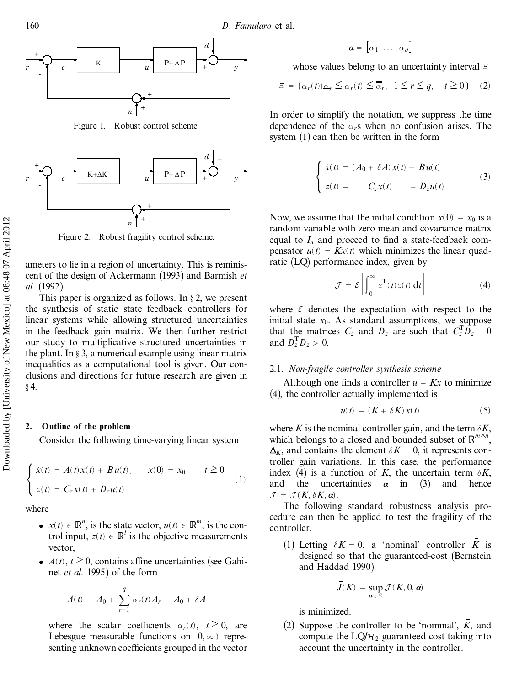

Figure 1. Robust control scheme.



ameters to lie in a region of uncertainty. This is reminis cent of the design of Ackermann (1993) and Barmish *et al.* (1992).

This paper is organized as follows. In  $\S 2$ , we present the synthesis of static state feedback controllers for linear systems while allowing structured uncertainties in the feedback gain matrix. We then further restrict our study to multiplicative structured uncertainties in the plant. In  $\S$  3, a numerical example using linear matrix inequalities as a computational tool is given. Our con clusions and directions for future research are given in  $§$  4. Figure 2. Robust fragility control scheme.<br>
The ameters to lie in a region of uncertainty. This is reached by the synthesis of Ackermann (1993) and Barr all. (1992).<br>
This paper is organized as follows. In § 2, we just th

#### **2. Outline of the problem**

Consider the following time-varying linear system

$$
\begin{cases} \dot{x}(t) = A(t)x(t) + Bu(t), & x(0) = x_0, \quad t \ge 0 \\ z(t) = C_z x(t) + D_z u(t) \end{cases}
$$
 (1)

where

- $x(t) \in \mathbb{R}^n$ , is the state vector,  $u(t) \in \mathbb{R}^m$ , is the control input,  $z(t) \in \mathbb{R}^l$  is the objective measurements vector,
- $A(t)$ ,  $t \geq 0$ , contains affine uncertainties (see Gahinet *et al.* 1995) of the form

$$
A(t) = A_0 + \sum_{r=1}^{q} \alpha_r(t) A_r = A_0 + \delta A
$$

where the scalar coefficients  $\alpha_r(t)$ ,  $t \geq 0$ , are Lebesgue measurable functions on  $[0, \infty)$  representing unknown coefficients grouped in the vector

$$
\pmb{\alpha} = \begin{bmatrix} \alpha_1, \ldots, \alpha_q \end{bmatrix}
$$

whose values belong to an uncertainty interval  $\overline{z}$ 

$$
\Xi = \{ \alpha_r(t) | \alpha_r \le \alpha_r(t) \le \overline{\alpha}_r, \ 1 \le r \le q, \ t \ge 0 \} \quad (2)
$$

In order to simplify the notation, we suppress the time dependence of the  $\alpha_r s$  when no confusion arises. The system (1) can then be written in the form

$$
\begin{cases}\n\dot{x}(t) = (A_0 + \delta A)x(t) + Bu(t) \\
z(t) = C_zx(t) + D_zu(t)\n\end{cases}
$$
\n(3)

Now, we assume that the initial condition  $x(0) = x_0$  is a random variable with zero mean and covariance matrix equal to  $I_n$  and proceed to find a state-feedback compensator  $u(t) = Kx(t)$  which minimizes the linear quadratic (LQ) performance index, given by

$$
\mathcal{J} = \mathcal{E}\left[\int_0^\infty z^{\mathrm{T}}(t)z(t) dt\right]
$$
 (4)

where  $\varepsilon$  denotes the expectation with respect to the initial state  $x_0$ . As standard assumptions, we suppose that the matrices  $C_z$  and  $D_z$  are such that  $C_z^T D_z^T = 0$ and  $D_z^T D_z > 0$ .

#### 2.1. *Non-fragile controller synthesis scheme*

Although one finds a controller  $u = Kx$  to minimize (4), the controller actually implemented is

$$
u(t) = (K + \delta K)x(t) \tag{5}
$$

where *K* is the nominal controller gain, and the term  $\delta K$ , which belongs to a closed and bounded subset of  $\mathbb{R}^{m \times n}$ ,  $\Delta$ <sup>*K*</sup>, and contains the element  $\delta$ *K* = 0, it represents controller gain variations. In this case, the performance index (4) is a function of *K*, the uncertain term  $\delta K$ , and the uncertainties  $\alpha$  in (3) and hence  $\mathcal{J} = \mathcal{J}(K, \delta K, \alpha)$ .<br>The following standard robustness analysis pro-

cedure can then be applied to test the fragility of the controller.

(1) Letting  $\delta K = 0$ , a 'nominal' controller *K* is designed so that the guaranteed-cost (Bernstein and Haddad 1990)

$$
\bar{J}(K) = \sup_{\alpha \in \varXi} \mathcal{J}(K, 0, \alpha)
$$

is minimized.

(2) Suppose the controller to be 'nominal',  $\overline{K}$ , and compute the  $LQ/H_2$  guaranteed cost taking into account the uncertainty in the controller.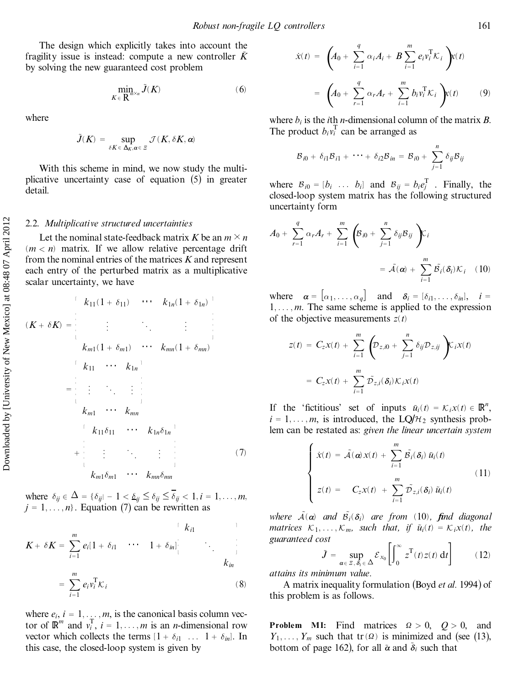The design which explicitly takes into account the fragility issue is instead: compute a new controller  $\tilde{K}$ by solving the new guaranteed cost problem

$$
\min_{K \in \mathbb{R}^{m \times n}} \tilde{J}(K) \tag{6}
$$

where

$$
\tilde{J}(K) = \sup_{\delta K \in \Delta_K, \alpha \in \Xi} \mathcal{J}(K, \delta K, \alpha)
$$

With this scheme in mind, we now study the multi plicative uncertainty case of equation (5) in greater detail.

#### 2.2. *Multiplicative structured uncertainties*

Let the nominal state-feedback matrix *K* be an  $m \times n$  $(m < n)$  matrix. If we allow relative percentage drift from the nominal entries of the matrices *K* and represent each entry of the perturbed matrix as a multiplicative scalar uncertainty, we have

$$
(K + \delta K) = \begin{bmatrix} k_{11}(1 + \delta_{11}) & \cdots & k_{1n}(1 + \delta_{1n}) \end{bmatrix}
$$
  
\n
$$
(K + \delta K) = \begin{bmatrix} \vdots & \ddots & \vdots \\ k_{m1}(1 + \delta_{m1}) & \cdots & k_{mn}(1 + \delta_{mn}) \end{bmatrix}
$$
  
\n
$$
= \begin{bmatrix} k_{11} & \cdots & k_{1n} \end{bmatrix}
$$
  
\n
$$
k_{m1} & \cdots & k_{mn}
$$
  
\n
$$
k_{11}\delta_{11} & \cdots & k_{1n}\delta_{1n} \end{bmatrix}
$$
  
\n
$$
+ \begin{bmatrix} k_{11}\delta_{11} & \cdots & k_{1n}\delta_{1n} \end{bmatrix}
$$
  
\n
$$
k_{m1}\delta_{m1} \cdots k_{mn}\delta_{mn}
$$
  
\n(7)

where  $\delta_{ij} \in \Delta = {\delta_{ij} - 1 < \delta_{ij} \leq \delta_{ij} \leq \overline{\delta_{ij}} < 1, i = 1, \ldots, m}$  $j = 1, \ldots, n$ . Equation (7) can be rewritten as

$$
K + \delta K = \sum_{i=1}^{m} e_i [1 + \delta_{i1} \cdots 1 + \delta_{in}] \qquad \qquad k_{in}
$$

$$
= \sum_{i=1}^{m} e_i v_i^{\mathrm{T}} \mathcal{K}_i
$$
 (8)

where  $e_i$ ,  $i = 1, \ldots, m$ , is the canonical basis column vector of  $\mathbb{R}^m$  and  $v_i^T$ ,  $i = 1, ..., m$  is an *n*-dimensional row vector which collects the terms  $[1 + \delta_{i1} \dots 1 + \delta_{in}]$ . In this case, the closed-loop system is given by

$$
\dot{x}(t) = \left(A_0 + \sum_{i=1}^{q} \alpha_i A_i + B \sum_{i=1}^{m} e_i v_i^{\mathrm{T}} K_i\right) x(t)
$$

$$
= \left(A_0 + \sum_{r=1}^{q} \alpha_r A_r + \sum_{i=1}^{m} b_i v_i^{\mathrm{T}} K_i\right) x(t) \qquad (9)
$$

where  $b_i$  is the *i*th *n*-dimensional column of the matrix *B*. The product  $b_i v_i^{\text{T}}$  can be arranged as

$$
\mathcal{B}_{i0} + \delta_{i1}\mathcal{B}_{i1} + \cdots + \delta_{i2}\mathcal{B}_{in} = \mathcal{B}_{i0} + \sum_{j=1}^{n} \delta_{ij}\mathcal{B}_{ij}
$$

where  $B_{i0} = [b_i \dots b_i]$  and  $B_{ij} = b_i e_j^T$ . Finally, the closed-loop system matrix has the following structured uncertainty form

$$
A_0 + \sum_{r=1}^q \alpha_r A_r + \sum_{i=1}^m \left( \mathcal{B}_{i0} + \sum_{j=1}^n \delta_{ij} \mathcal{B}_{ij} \right) \mathcal{K}_i
$$
  
=  $\tilde{\mathcal{A}}(\boldsymbol{\alpha}) + \sum_{i=1}^m \tilde{\mathcal{B}}_i(\delta_i) \mathcal{K}_i$  (10)

where  $\alpha = [\alpha_1, \ldots, \alpha_q]$  and  $\delta_i = [\delta_{i1}, \ldots, \delta_{in}],$   $i =$  $1, \ldots, m$ . The same scheme is applied to the expression of the objective measurements  $z(t)$ 

$$
z(t) = C_z x(t) + \sum_{i=1}^{m} \left( D_{z,i0} + \sum_{j=1}^{n} \delta_{ij} D_{z,ij} \right) C_i x(t)
$$

$$
= C_z x(t) + \sum_{i=1}^{m} \tilde{D}_{z,i} (\delta_i) K_i x(t)
$$

If the 'fictitious' set of inputs  $\tilde{u}_i(t) = \mathcal{K}_i x(t) \in \mathbb{R}^n$ ,  $i = 1, \ldots, m$ , is introduced, the LQ/ $H_2$  synthesis problem can be restated as: *given the linear uncertain system*

$$
\begin{cases}\n\dot{x}(t) = \tilde{\mathcal{A}}(\alpha) x(t) + \sum_{i=1}^{m} \tilde{\mathcal{B}_i}(\delta_i) \tilde{u}_i(t) \\
z(t) = C_z x(t) + \sum_{i=1}^{m} \tilde{\mathcal{D}}_{z,i}(\delta_i) \tilde{u}_i(t)\n\end{cases}
$$
\n(11)

*where*  $\tilde{A}(\alpha)$  *and*  $\tilde{B}_i(\delta_i)$  *are from* (10), *find diagonal matrices*  $K_1, \ldots, K_m$ *, such that, if*  $\tilde{u}_i(t) = K_i x(t)$ *, the guaranteed cost*

$$
\tilde{J} = \sup_{\alpha \in \Xi, \delta_i \in \Delta} \mathcal{E}_{x_0} \left[ \int_0^\infty z^{\mathrm{T}}(t) z(t) \, \mathrm{d}t \right] \tag{12}
$$

*attains its minimum value.*

A matrix inequality formulation (Boyd *et al.* 1994) of this problem is as follows.

**Problem MI:** Find matrices  $\Omega > 0$ ,  $Q > 0$ , and  $Y_1, \ldots, Y_m$  such that tr $(\Omega)$  is minimized and (see (13), bottom of page 162), for all  $\tilde{\alpha}$  and  $\tilde{\delta}_i$  such that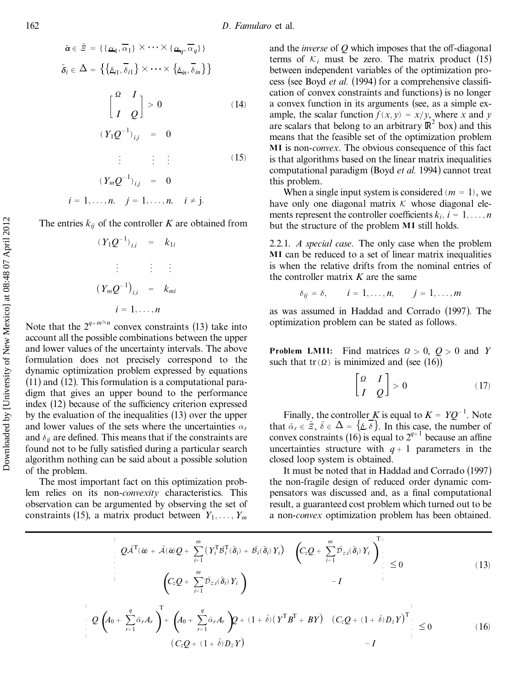$$
\tilde{\alpha} \in \tilde{\Xi} = \{ \{\alpha_1, \overline{\alpha}_1\} \times \cdots \times \{\alpha_q, \overline{\alpha}_q\} \}
$$

$$
\tilde{\delta}_i \in \Delta = \{ \{\underline{\delta}_{i1}, \overline{\delta}_{i1}\} \times \cdots \times \{\underline{\delta}_{in}, \overline{\delta}_{in}\} \}
$$

$$
\begin{bmatrix} \frac{\alpha}{I} & \frac{I}{Q} \end{bmatrix} > 0 \tag{14}
$$

$$
(Y_1 Q^{-1})_{i,j} = 0
$$

$$
\vdots \qquad \vdots \qquad \qquad (15)
$$

$$
(Y_m Q^{-1})_{i,j} = 0
$$
  
 $i = 1, ..., n, \quad j = 1, ..., n, \quad i \neq j.$ 

The entries  $k_{ij}$  of the controller  $K$  are obtained from

$$
(Y_1Q^{-1})_{i,i} = k_{1i}
$$
  
\n
$$
\vdots \qquad \vdots \qquad \vdots
$$
  
\n
$$
(Y_mQ^{-1})_{i,i} = k_{mi}
$$
  
\n
$$
i = 1, ..., n
$$

Note that the  $2^{q+m\times n}$  convex constraints (13) take into account all the possible combinations between the upper and lower values of the uncertainty intervals. The above formulation does not precisely correspond to the dynamic optimization problem expressed by equations (11) and (12). This formulation is a computational para digm that gives an upper bound to the performance index  $(12)$  because of the sufficiency criterion expressed by the evaluation of the inequalities (13) over the upper and lower values of the sets where the uncertainties  $\alpha_r$ and  $\delta_{ij}$  are defined. This means that if the constraints are found not to be fully satisfied during a particular search algorithm nothing can be said about a possible solution of the problem.

The most important fact on this optimization problem relies on its non-*convexity* characteristics. This observation can be argumented by observing the set of constraints (15), a matrix product between  $Y_1, \ldots, Y_m$  and the *inverse* of  $Q$  which imposes that the off-diagonal terms of  $K_i$  must be zero. The matrix product (15) between independent variables of the optimization pro cess (see Boyd *et al.* (1994) for a comprehensive classification of convex constraints and functions) is no longer a convex function in its arguments (see, as a simple ex ample, the scalar function  $f(x, y) = x/y$ , where *x* and *y* are scalars that belong to an arbitrary  $\mathbb{R}^2$  box) and this means that the feasible set of the optimization problem **MI** is non-*convex*. The obvious consequence of this fact is that algorithms based on the linear matrix inequalities computational paradigm (Boyd *et al.* 1994) cannot treat this problem.

When a single input system is considered ( $m = 1$ ), we have only one diagonal matrix  $K$  whose diagonal elements represent the controller coefficients  $k_i$ ,  $i = 1, \ldots, n$ but the structure of the problem **MI** still holds.

2.2.1. *A special case.* The only case when the problem **MI** can be reduced to a set of linear matrix inequalities is when the relative drifts from the nominal entries of the controller matrix *K* are the same

$$
\delta_{ij} = \delta, \qquad i = 1, \ldots, n, \qquad j = 1, \ldots, m
$$

as was assumed in Haddad and Corrado (1997). The optimization problem can be stated as follows.

**Problem LMI1:** Find matrices  $Q > 0$ ,  $Q > 0$  and *Y* such that  $tr(\Omega)$  is minimized and (see (16))

$$
\begin{bmatrix} \Omega & I \\ I & Q \end{bmatrix} > 0 \tag{17}
$$

Finally, the controller *K* is equal to  $K = YQ^{-1}$ . Note that  $\tilde{\alpha}_r \in \tilde{\Xi}$ ,  $\tilde{\delta} \in \Delta = {\{\Delta, \delta\}}$ . In this case, the number of convex constraints (16) is equal to  $2^{q+1}$  because an affine uncertainties structure with  $q+1$  parameters in the closed loop system is obtained.

It must be noted that in Haddad and Corrado (1997) the non-fragile design of reduced order dynamic com pensators was discussed and, as a final computational result, a guaranteed cost problem which turned out to be a non-*convex* optimization problem has been obtained.

*<sup>Q</sup>*A~<sup>T</sup> … <sup>~</sup>*a*† ‡ <sup>A</sup>~…~*a*†*<sup>Q</sup>* ‡ <sup>X</sup>*<sup>m</sup> i*<sup>ˆ</sup> 1 *Y* T *<sup>i</sup>* <sup>B</sup>~<sup>T</sup> *<sup>i</sup>* …~*di*† ‡ <sup>B</sup><sup>~</sup> *<sup>i</sup>*… ~*di*†*Y <sup>i</sup>* ¡ *<sup>C</sup>z<sup>Q</sup>* ‡ <sup>X</sup>*<sup>m</sup> i*<sup>ˆ</sup> 1 <sup>D</sup><sup>~</sup> *<sup>z</sup>*;*i*… <sup>~</sup>*d<sup>i</sup>* … †*Yi*† T *<sup>C</sup>z<sup>Q</sup>* ‡ <sup>X</sup>*<sup>m</sup> i*<sup>ˆ</sup> 1 <sup>D</sup><sup>~</sup> *<sup>z</sup>*;*i*…~*d<sup>i</sup>* … †*<sup>Y</sup> <sup>i</sup>*† ¡ *I* 4 0 …13† *<sup>Q</sup> <sup>A</sup>*<sup>0</sup> ‡ <sup>X</sup>*<sup>q</sup> <sup>r</sup>*<sup>ˆ</sup> <sup>1</sup> … <sup>¬</sup>~*rA<sup>r</sup>* † T‡ *<sup>A</sup>*<sup>0</sup> ‡ <sup>X</sup>*<sup>q</sup> <sup>r</sup>*<sup>ˆ</sup> <sup>1</sup> … <sup>¬</sup>~*rA<sup>r</sup>* † *Q* ‡ …1 ‡ <sup>~</sup>¯† *Y* <sup>T</sup>*B* <sup>T</sup> ‡ *BY* ¡ *CzQ* ‡ …1 ‡ <sup>~</sup>¯†*DzY* ¡ <sup>T</sup> *CzQ* ‡ …1 ‡ <sup>~</sup>¯†*DzY* ¡ ¡ *I* <sup>5</sup> <sup>0</sup> …16† Downloaded by [University of New Mexico] at 08:48 07 April 2012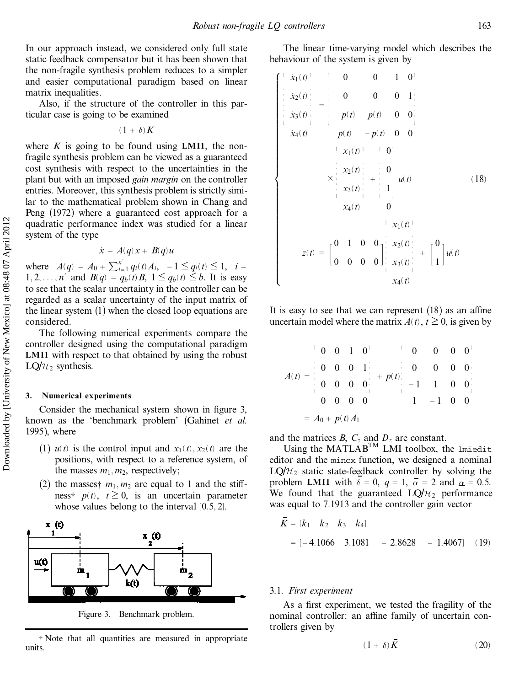In our approach instead, we considered only full state static feedback compensator but it has been shown that the non-fragile synthesis problem reduces to a simpler and easier computational paradigm based on linear matrix inequalities.

Also, if the structure of the controller in this particular case is going to be examined

 $(1 + \delta)K$ 

where  $K$  is going to be found using LMI1, the nonfragile synthesis problem can be viewed as a guaranteed cost synthesis with respect to the uncertainties in the plant but with an imposed *gain margin* on the controller entries. Moreover, this synthesis problem is strictly similar to the mathematical problem shown in Chang and Peng (1972) where a guaranteed cost approach for a quadratic performance index was studied for a linear system of the type

$$
\dot{x} = A(q)x + B(q)u
$$

where  $A(q) = A_0 + \sum_{i=1}^{n'} q_i(t) A_i, -1 \leq q_i(t) \leq 1, i =$ 1, 2, ..., *n*<sup> $\prime$ </sup> and *B*(*q*) = *q<sub>b</sub>*(*t*) *B*, 1  $\leq$  *q<sub>b</sub>*(*t*)  $\leq$  *b*. It is easy to see that the scalar uncertainty in the controller can be regarded as a scalar uncertainty of the input matrix of the linear system (1) when the closed loop equations are considered.

The following numerical experiments compare the controller designed using the computational paradigm **LMI1** with respect to that obtained by using the robust LQ/ $H_2$  synthesis.

#### **3. Numerical experiments**

Consider the mechanical system shown in figure 3, known as the `benchmark problem' (Gahinet *et al.* 1995), where

- (1)  $u(t)$  is the control input and  $x_1(t), x_2(t)$  are the positions, with respect to a reference system, of the masses  $m_1, m_2$ , respectively;
- (2) the masses  $\dot{m}_1$ ,  $m_2$  are equal to 1 and the stiffness<sup>†</sup>,  $p(t)$ ,  $t \geq 0$ , is an uncertain parameter whose values belong to the interval  $[0.5, 2]$ .



{ Note that all quantities are measured in appropriate units.

The linear time-varying model which describes the behaviour of the system is given by

$$
\begin{bmatrix}\n x_1(t) & 0 & 0 & 1 & 0 \\
 x_2(t) & -\frac{1}{2} & 0 & 0 & 0 & 1 \\
 x_3(t) & -p(t) & p(t) & 0 & 0 \\
 x_4(t) & p(t) & -p(t) & 0 & 0 \\
 x_1(t) & 0 & 0 & 0\n\end{bmatrix}
$$
\n
$$
= \begin{bmatrix}\n x_1(t) & 0 & 0 \\
 x_2(t) & -\frac{1}{2} & 0 \\
 x_3(t) & 1 & 0 \\
 x_4(t) & 0 & x_1(t)\n\end{bmatrix}
$$
\n
$$
= \begin{bmatrix}\n 0 & 1 & 0 & 0 \\
 0 & 0 & 0 & 0 \\
 0 & 0 & 0 & 0\n\end{bmatrix} \begin{bmatrix}\n x_2(t) \\
 x_3(t) \\
 x_4(t)\n\end{bmatrix} + \begin{bmatrix}\n 0 \\
 1\n\end{bmatrix} u(t)
$$
\n
$$
z(t) = \begin{bmatrix}\n 0 & 1 & 0 & 0 \\
 0 & 0 & 0 & 0 \\
 0 & 0 & 0 & 0\n\end{bmatrix} \begin{bmatrix}\n x_2(t) \\
 x_3(t) \\
 x_4(t)\n\end{bmatrix} + \begin{bmatrix}\n 0 \\
 1\n\end{bmatrix} u(t)
$$

It is easy to see that we can represent  $(18)$  as an affine uncertain model where the matrix  $A(t)$ ,  $t \ge 0$ , is given by

$$
A(t) = \begin{bmatrix} 0 & 0 & 1 & 0 \\ 0 & 0 & 0 & 1 \\ 0 & 0 & 0 & 0 \\ 0 & 0 & 0 & 0 \\ 0 & 0 & 0 & 0 \end{bmatrix} + p(t) \begin{bmatrix} 0 & 0 & 0 & 0 \\ 0 & 0 & 0 & 0 \\ -1 & 1 & 0 & 0 \\ 1 & -1 & 0 & 0 \end{bmatrix}
$$

$$
= A_0 + p(t) A_1
$$

and the matrices *B*,  $C_z$  and  $D_z$  are constant.

Using the  $MATLAB<sup>TM</sup>$  LMI toolbox, the lmiedit editor and the mincx function, we designed a nominal  $LQ/H<sub>2</sub>$  static state-feedback controller by solving the problem **LMI1** with  $\delta = 0$ ,  $q = 1$ ,  $\overline{\alpha} = 2$  and  $\alpha = 0.5$ . We found that the guaranteed  $LQ/H_2$  performance was equal to 7.1913 and the controller gain vector

$$
K = [k_1 \quad k_2 \quad k_3 \quad k_4]
$$
  
= [-4.1066 \quad 3.1081 \quad - 2.8628 \quad - 1.4067] (19)

#### 3.1. *First experiment*

As a first experiment, we tested the fragility of the nominal controller: an affine family of uncertain controllers given by

$$
(1+\delta)\bar{K} \tag{20}
$$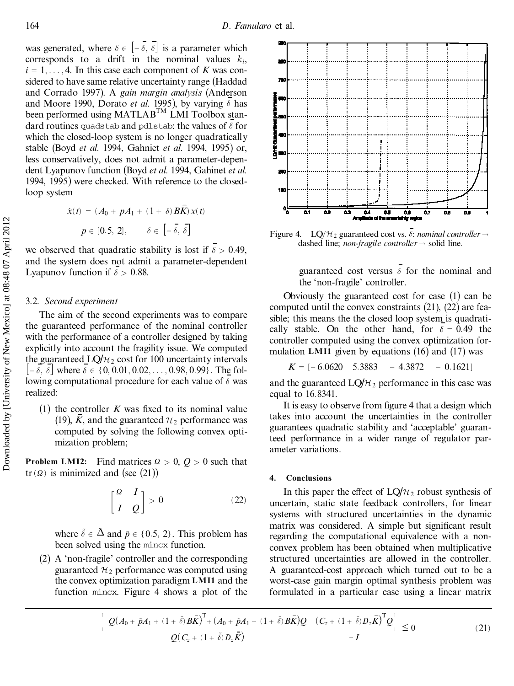was generated, where  $\delta \in [-\overline{\delta}, \overline{\delta}]$  is a parameter which corresponds to a drift in the nominal values  $k_i$ ,  $i = 1, \ldots, 4$ . In this case each component of *K* was considered to have same relative uncertainty range (Haddad and Corrado 1997). A *gain margin analysis* (Anderson and Moore 1990, Dorato *et al.* 1995), by varying  $\delta$  has been performed using MATLAB<sup>TM</sup> LMI Toolbox standard routines quadstab and pdlstab: the values of  $\delta$  for which the closed-loop system is no longer quadratically stable (Boyd *et al.* 1994, Gahniet *et al.* 1994, 1995) or, less conservatively, does not admit a parameter-depen dent Lyapunov function (Boyd *et al.* 1994, Gahinet *et al.* 1994, 1995) were checked. With reference to the closedloop system

$$
\dot{x}(t) = (A_0 + pA_1 + (1 + \delta)BK)x(t)
$$

$$
p \in [0.5, 2], \qquad \delta \in [-\overline{\delta}, \overline{\delta}]
$$

we observed that quadratic stability is lost if  $\overline{\delta} > 0.49$ , and the system does not admit a parameter-dependent Lyapunov function if  $\delta > 0.88$ .

#### 3.2. *Second experiment*

The aim of the second experiments was to compare the guaranteed performance of the nominal controller with the performance of a controller designed by taking explicitly into account the fragility issue. We computed the guaranteed  $LQ/H_2$  cost for 100 uncertainty intervals  $[-\delta, \delta]$  where  $\delta \in \{0, 0.01, 0.02, \ldots, 0.98, 0.99\}$ . The following computational procedure for each value of  $\delta$  was realized:

(1) the controller  $K$  was fixed to its nominal value (19),  $\bar{K}$ , and the guaranteed  $\mathcal{H}_2$  performance was computed by solving the following convex opti mization problem;

**Problem LMI2:** Find matrices  $\Omega > 0$ ,  $Q > 0$  such that tr  $(\Omega)$  is minimized and (see (21))

$$
\begin{bmatrix} \Omega & I \\ I & Q \end{bmatrix} > 0 \tag{22}
$$

where  $\tilde{\delta} \in \Delta$  and  $\tilde{p} \in \{0.5, 2\}$ . This problem has been solved using the mincx function.

(2) A `non-fragile' controller and the corresponding guaranteed  $\mathcal{H}_2$  performance was computed using the convex optimization paradigm **LMI1** and the function mincx. Figure 4 shows a plot of the



Figure 4. LQ/ $H_2$  guaranteed cost vs.  $\delta$ : *nominal controller*  $\rightarrow$ dashed line; *non-fragile controller*  $\rightarrow$  solid line.

guaranteed cost versus  $\overline{\delta}$  for the nominal and the `non-fragile' controller.

Obviously the guaranteed cost for case (1) can be computed until the convex constraints (21), (22) are feasible; this means the the closed loop system is quadrati cally stable. On the other hand, for  $\delta = 0.49$  the controller computed using the convex optimization for mulation **LMI1** given by equations (16) and (17) was

$$
K = [-6.0620 \quad 5.3883 \quad -4.3872 \quad -0.1621]
$$

and the guaranteed  $LQ/H_2$  performance in this case was equal to 16:8341.

It is easy to observe from figure 4 that a design which takes into account the uncertainties in the controller guarantees quadratic stability and `acceptable' guaranteed performance in a wider range of regulator par ameter variations.

#### **4. Conclusions**

In this paper the effect of  $LQ/\mathcal{H}_2$  robust synthesis of uncertain, static state feedback controllers, for linear systems with structured uncertainties in the dynamic matrix was considered. A simple but significant result regarding the computational equivalence with a non convex problem has been obtained when multiplicative structured uncertainties are allowed in the controller. A guaranteed-cost approach which turned out to be a worst-case gain margin optimal synthesis problem was formulated in a particular case using a linear matrix

$$
\begin{bmatrix} Q(A_0 + \tilde{p}A_1 + (1 + \tilde{\delta})B\vec{K})^{\mathrm{T}} + (A_0 + \tilde{p}A_1 + (1 + \tilde{\delta})B\vec{K})Q & (C_z + (1 + \tilde{\delta})D_z\vec{K})^{\mathrm{T}}Q \Big| \\ Q(C_z + (1 + \tilde{\delta})D_z\vec{K}) & -I \end{bmatrix} \leq 0
$$
\n(21)